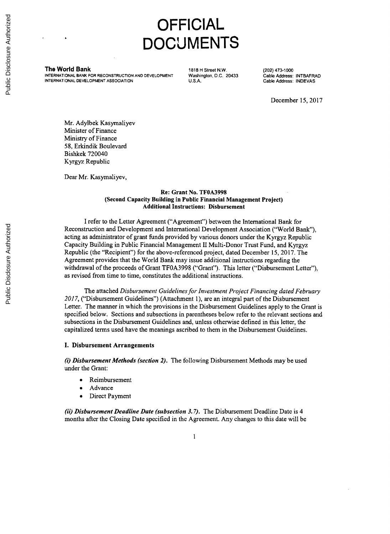#### **OFFICIAL DOCUMENTS**

**The World Bank** 1818 H Street N.W. (202) 473-1000<br>INTERNATIONAL BANK FOR RECONSTRUCTION AND DEVELOPMENT Washington, D.C. 20433 Cable Address: INTBAFRAD INTERNATIONAL BANK FOR RECONSTRUCTION AND DEVELOPMENT Washington, D.C. 20433 Cable Address: INTBAFRA<br>INTERNATIONAL DEVELOPMENT ASSOCIATION U.S.A. Cable Address: INDEVAS **INTERNATIONAL DEVELOPMENT ASSOCIATION** 

December **15, 2017**

Mr. Adylbek Kasymaliyev Minister of Finance Ministry of Finance **58,** Erkindik Boulevard Bishkek 720040 Kyrgyz Republic

Dear Mr. Kasymaliyev,

#### Re: Grant No. **TF0A3998** (Second Capacity Building in Public Financial Management Project) Additional Instructions: Disbursement

I refer to the Letter Agreement ("Agreement") between the International Bank for Reconstruction and Development and International Development Association ("World Bank"), acting as administrator of grant funds provided **by** various donors under the Kyrgyz Republic Capacity Building in Public Financial Management II Multi-Donor Trust Fund, and Kyrgyz Republic (the "Recipient") for the above-referenced project, dated December **15, 2017.** The Agreement provides that the World Bank may issue additional instructions regarding the withdrawal of the proceeds of Grant **TF0A3998** ("Grant"). This letter ("Disbursement Letter"), as revised from time to time, constitutes the additional instructions.

The attached *Disbursement Guidelines for Investment Project Financing dated February 2017,* ("Disbursement Guidelines") (Attachment **1),** are an integral part of the Disbursement Letter. The manner in which the provisions in the Disbursement Guidelines apply to the Grant is specified below. Sections and subsections in parentheses below refer to the relevant sections and subsections in the Disbursement Guidelines and, unless otherwise defined in this letter, the capitalized terms used have the meanings ascribed to them in the Disbursement Guidelines.

#### **I.** Disbursement **Arrangements**

*(i) Disbursement Methods (section 2).* The following Disbursement Methods may be used under the Grant:

- **Reimbursement**
- Advance
- Direct Payment

*(ii) Disbursement Deadline Date (subsection 3.7).* The Disbursement Deadline Date is 4 months after the Closing Date specified in the Agreement. Any changes to this date will be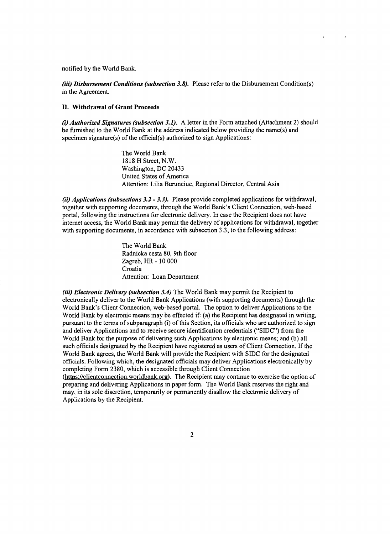notified **by** the World Bank.

*(iii)* **Disbursement Conditions** *(subsection 3.8).* Please refer to the Disbursement Condition(s) in the Agreement.

#### **II.** Withdrawal of Grant Proceeds

*(i) Authorized Signatures (subsection 3.1).* **A** letter in the Form attached (Attachment 2) should be furnished to the World Bank at the address indicated below providing the name(s) and specimen signature(s) of the official(s) authorized to sign Applications:

> The World Bank **1818** H Street, N.W. Washington, **DC** 20433 United States of America Attention: Lilia Burunciuc, Regional Director, Central Asia

*(ii) Applications (subsections 3.2* **-** *3.3).* Please provide completed applications for withdrawal, together with supporting documents, through the World Bank's Client Connection, web-based portal, following the instructions for electronic delivery. In case the Recipient does not have internet access, the World Bank may permit the delivery of applications for withdrawal, together with supporting documents, in accordance with subsection **3.3,** to the following address:

> The World Bank Radnicka cesta **80,** 9th floor Zagreb, HR **- 10 000** Croatia Attention: Loan Department

*(iii) Electronic Delivery (subsection 3.4)* The World Bank may permit the Recipient to electronically deliver to the World Bank Applications (with supporting documents) through the World Bank's Client Connection, web-based portal. The option to deliver Applications to the World Bank by electronic means may be effected if: (a) the Recipient has designated in writing, pursuant to the terms of subparagraph (i) of this Section, its officials who are authorized to sign and deliver Applications and to receive secure identification credentials ("SIDC") from the World Bank for the purpose of delivering such Applications **by** electronic means; and **(b)** all such officials designated **by** the Recipient have registered as users of Client Connection. **If** the World Bank agrees, the World Bank will provide the Recipient with **SIDC** for the designated officials. Following which, the designated officials may deliver Applications electronically **by** completing Form **2380,** which is accessible through Client Connection

(https://clientconnection.worldbank.org). The Recipient may continue to exercise the option of preparing and delivering Applications in paper form. The World Bank reserves the right and may, in its sole discretion, temporarily or permanently disallow the electronic delivery of Applications **by** the Recipient.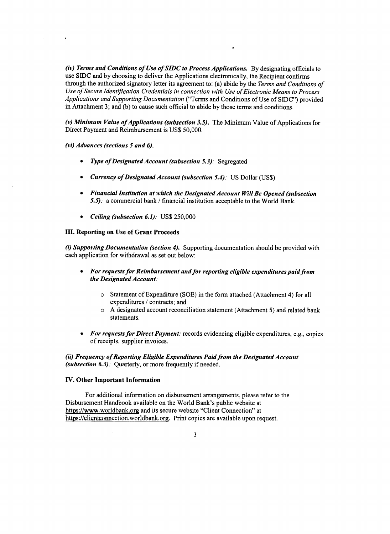*(iv)* **Terms and** *Conditions of Use of SIDC to Process Applications.* **By** designating officials to use SIDC and **by** choosing to deliver the Applications electronically, the Recipient confirms through the authorized signatory letter its agreement to: (a) abide **by** the *Terms and Conditions of Use of Secure Identification Credentials in connection with Use of Electronic Means to Process Applications and Supporting Documentation* ("Terms and Conditions of Use of **S IDC")** provided in Attachment **3;** and **(b)** to cause such official to abide **by** those terms and conditions.

(v) Minimum Value of Applications (subsection 3.5). The Minimum Value of Applications for Direct Payment and Reimbursement is **US\$ 50,000.**

*(vi) Advances (sections 5 and 6).*

- *\* Type ofDesignated Account (subsection 5.3):* Segregated
- *\* Currency ofDesignated Account (subsection 5.4):* **US** Dollar **(US\$)**
- *\* Financial Institution at which the Designated Account Will Be Opened (subsection 5.5):* a commercial bank **/** financial institution acceptable to the World Bank.
- *\* Ceiling (subsection 6.1):* **US\$ 250,000**

#### **III. Reporting on Use of Grant Proceeds**

*(i) Supporting Documentation (section 4).* Supporting documentation should be provided with each application for withdrawal as set out below:

- *\* For requests for Reimbursement and for reporting eligible expenditures paid from the Designated Account:*
	- o Statement of Expenditure **(SOE)** in the form attached (Attachment 4) for all expenditures **/** contracts; and
	- " **A** designated account reconciliation statement (Attachment **5)** and related bank statements.
- *For requests for Direct Payment:* records evidencing eligible expenditures, e.g., copies of receipts, supplier invoices.

*(ii) Frequency of Reporting Eligible Expenditures Paid from the Designated Account (subsection 6.3).* Quarterly, or more frequently if needed.

#### **IV. Other Important Information**

For additional information on disbursement arrangements, please refer to the Disbursement Handbook available on the World Bank's public website at https://www.worldbank.org and its secure website "Client Connection" at https://clientconnection.worldbank.org. Print copies are available upon request.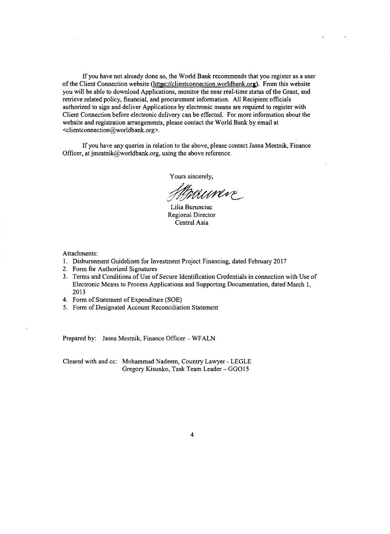If you have not already done so, the World Bank recommends that you register as a user of the Client Connection website (https://clientconnection.worldbank.org). From this website you will be able to download Applications, monitor the near real-time status of the Grant, and retrieve related policy, financial, and procurement information. **All** Recipient officials authorized to sign and deliver Applications **by** electronic means are required to register with Client Connection before electronic delivery can be effected. For more information about the website and registration arrangements, please contact the World Bank **by** email at <clientconnection@worldbank.org>.

**If** you have any queries in relation to the above, please contact Jasna Mestnik, Finance Officer, at jmestnik@worldbank.org, using the above reference.

Yours sincerely,

Munic

Lilia Burunciuc Regional Director Central Asia

Attachments:

- **1.** Disbursement Guidelines for Investment Project Financing, dated February **2017**
- 2. Form for Authorized Signatures
- **3.** Terms and Conditions of Use of Secure Identification Credentials in connection with Use of Electronic Means to Process Applications and Supporting Documentation, dated March **1, <sup>2013</sup>**
- 4. Form of Statement of Expenditure **(SOE)**
- **5.** Form of Designated Account Reconciliation Statement

Prepared **by:** Jasna Mestnik, Finance Officer **-** WFALN

Cleared with and cc: Mohammad Nadeem, Country Lawyer **- LEGLE** Gregory Kisunko, Task Team Leader **- GGO** *15*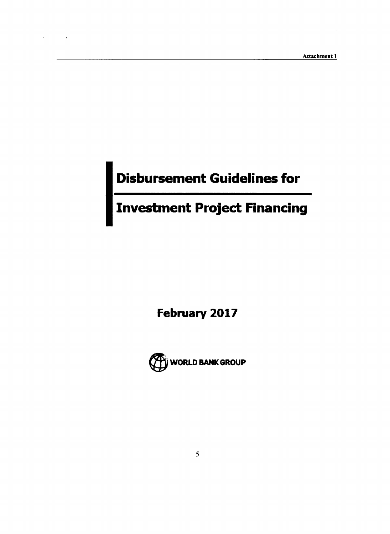#### **Disbursement Guidelines for**

#### **Investment Project Financing**

**February 2017**

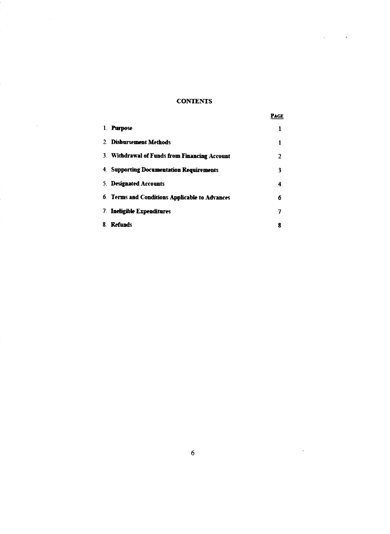#### **CONTENTS**

 $\mathcal{L}_{\text{max}}$  and  $\mathcal{L}_{\text{max}}$  . The  $\mathcal{L}_{\text{max}}$ 

 $\sim 10^6$ 

 $\sim 10^{-10}$ 

|                                                | Page |
|------------------------------------------------|------|
| 1. Purpose                                     |      |
| 2. Disbursement Methods                        |      |
| 3. Withdrawal of Funds from Financing Account  | 2    |
| 4. Supporting Documentation Requirements       | 3    |
| 5. Designated Accounts                         | 4    |
| 6. Terms and Conditions Applicable to Advances | 6    |
| 7. <b>Ineligible Expenditures</b>              | 7    |
| 8. Refunds                                     | 8    |

 $\mathcal{L}(\mathcal{L})$  .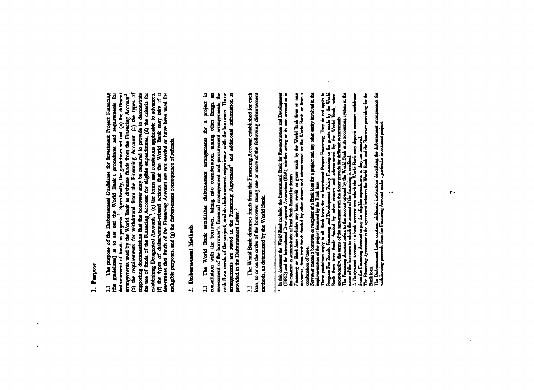### 1. Purpose

 $\overline{\phantom{a}}$ 

1.1 The purpose of the Disbursement Guidelines for Investment Project Financing (the guidelines) is to set out the World Bank's procedures and requirements for disbursement of funds in projects.<sup>1</sup> Specifically, the guide meligible purposes, and (g) the disbursement consequence of refunds.

## 2. Disbursement Methods

assessment of the borrower's financial management and procurement arrangements, the cash flow needs of the project, and its disbursement experience with the borrower. Those arrangements are stated in the Financing Agreemen The World Bank establishes disbussement arrangements for a project in consultation with the borrower, taking into consideration, among other things, an  $\overline{21}$ 

2.2 The World Bank disburses funds from the Financing Account established for each loan, to or on the order of the borrower, using one or more of the following disbursement methods, as determined by the World Bank.

J.

 $\ddot{\phantom{1}}$ 

in this document the *World Bonk* moledus the International Bank for Reconstruction and Development (IBKD) and the international Development Association (DNA), whether acting on its own account or in (IBKD) and the intern

The Disbursement Letter contants additional instructions describing the disbursement arrangements for<br>withdrawing proceeds from the Financing Account under a particular investment project.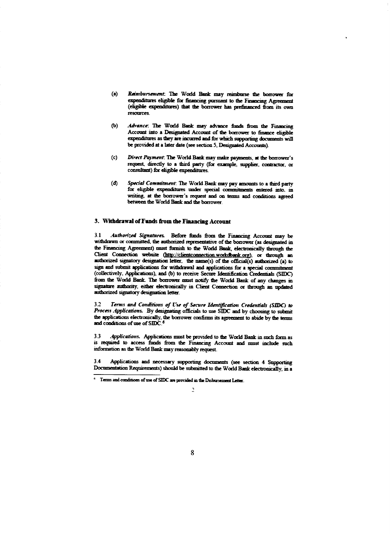- Reimbursement. The World Bank may reimburse the borrower for  $(a)$ expenditures eligible for financing pursuant to the Financing Agreement (eligible expenditures) that the borrower has prefinanced from its own **resources**
- (Ъ) Advance: The World Bank may advance funds from the Financing Account into a Designated Account of the borrower to finance eligible expenditures as they are incurred and for which supporting documents will be provided at a later date (see section 5, Designated Accounts).
- Direct Payment: The World Bank may make payments, at the borrower's  $(c)$ request, directly to a third party (for example, supplier, contractor, or consultant) for eligible expenditures.
- $(d)$ Special Commitment. The World Bank may pay amounts to a third party for eligible expenditures under special commitments entered into. in writing, at the borrower's request and on terms and conditions agreed between the World Bank and the borrower.

#### 3. Withdrawal of Funds from the Financing Account

Authorized Signatures. Before finds from the Financing Account may be  $31$ withdrawn or committed, the authorized representative of the borrower (as designated in the Financing Agreement) must furnish to the World Bank, electronically through the Client Connection website (http://clientconnection.workdbank.org), or through an authorized signatory designation letter, the name(s) of the official(s) authorized (a) to sign and submit applications for withdrawal and applications for a special commitment (collectively, Applications), and (b) to receive Secure Identification Credentials (SIDC) from the World Bank. The borrower must notify the World Bank of any changes in signature authority, either electronically in Client Connection or through an updated authorized signatory designation letter.

Terms and Conditions of Use of Secure Identification Credentials (SIDC) to  $3.2$ Process Applications. By designating officials to use SIDC and by choosing to submit the applications electronically, the borrower confirms its agreement to abide by the terms and conditions of use of SIDC<sup>6</sup>

 $33$ Applications. Applications must be provided to the World Bank in such form as is required to access funds from the Financing Account and must include such information as the World Bank may reasonably request.

 $34$ Applications and necessary supporting documents (see section 4 Supporting Documentation Requirements) should be submitted to the World Bank electronically, in a

 $^{\circ}$  Terms and conditions of use of SIDC are provided in the Disbursement Letter.

 $\mathbf{B}$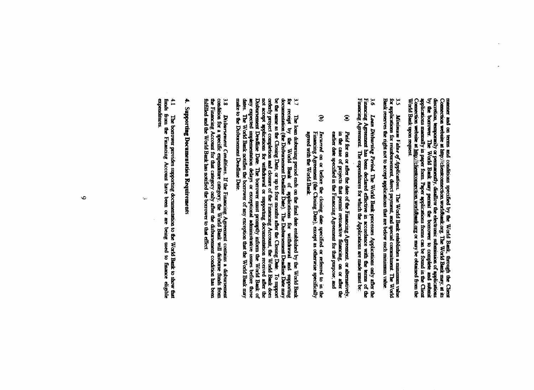manner and on terms and conditions specified by the World Bank, through the Client Connection website at http://citentoconnection worldbank.org. The World Bank may, at its discretion, temporarily or permanently, disalfow Connection website at  $\underline{\lim_{\mathcal{V}}}/(\text{theorem-tion. Weofland, org or may be obtained from the World Bank upon request.}$ 

3.5 Minimum Falue of Applications. The World Bank establishes a minimum value for applications for reinfuncionnent, direct payment, and special commitment. The World Bank reserves the right not to accept applications that

 $\mathbf{9}^{\circ}$ Financing Agreement **Funning Agreement** Loan Distourang Period. The World Bank processes Applications only after the time of the correct has been declared effective in accordance with the terms of the ing Agreement The expenditures for which the Applications are

- $\mathbf{\hat{e}}$ earlier date specified in the Financing Agreement for that pupose, and in the case of projects that permit retroactive financing, on or after the Paid for on or after the date of the Funancing Agreement, or alternatively
- $\widehat{\mathbf{e}}$ Incurred on or before the closing date specified or referred to in the Financing Agreement (the Chosing Date), except as otherwise specifically agreed with the World Bank

Disbursement Deadline Date. The borrower must promptly inform the World Bank of any expected implementation delays or exceptional administrative issues before those dates. The World Bank notifies the borrower of any except orderly project completion and closure of the Financing Account, the World Bank does not accord after the 3.7 The loan distorming period ends on the final date established by the World Bank for receipt by the World Bank of applications for withdrawal and supporting documentation (the Disbursement Deadline Date). The Disbursem make to the Disbursement Deadline Date.

the Financing Account for that category only after the disbursement condition has been fulfilled and the World Bank has notified the borrower to that effect. 3.8 Disbursement Conditions. If the Financing Agreement contains a disbursement condition for a specific expenditure category, the World Bank will disburse finds from

# 4. Supporting Documentation Requirements

 $\ddot{\mathbf{r}}$ expenditures finds from the Financing Account have been or are being used to finance eligible The borrower provides supporting documentation to the World Bank to show that

 $\mathbf{L}_{\mathbf{A},\mathbf{B}}$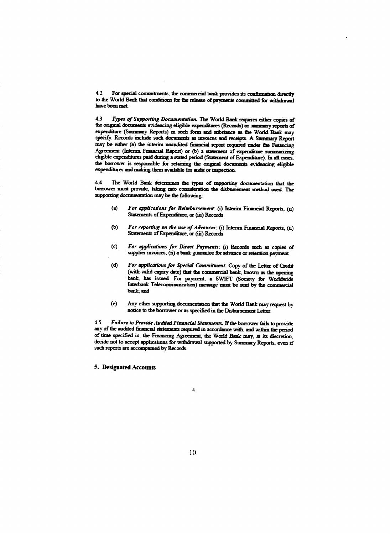$4.2$ For special commitments, the commercial bank provides its confirmation directly to the World Bank that conditions for the release of payments committed for withdrawal have been met

 $\overline{43}$ Types of Supporting Documentation. The World Bank requires either copies of the original documents evidencing eligible expenditures (Records) or summary reports of expenditure (Summary Reports) in such form and substance as the World Bank may specify. Records include such documents as invoices and receipts. A Summary Report may be either (a) the interim unaudited financial report required under the Financing Agreement (Interim Financial Report) or (b) a statement of expenditure summarizing eligible expenditures paid during a stated period (Statement of Expenditure). In all cases, the borrower is responsible for retaining the original documents evidencing eligible expenditures and making them available for audit or inspection.

44 The World Bank determines the types of supporting documentation that the borrower must provide, taking into consideration the disbursement method used. The supporting documentation may be the following:

- $(a)$ For applications for Reimbursement. (i) Interim Financial Reports. (ii) Statements of Expenditure, or (iii) Records
- $(b)$ For reporting on the use of Advances: (i) Interim Financial Reports, (ii) Statements of Expenditure, or (iii) Records
- $(c)$ For applications for Direct Payments: (i) Records such as copies of supplier invoices; (ii) a bank guarantee for advance or retention payment
- For applications for Special Commitment. Copy of the Letter of Credit  $(d)$ (with valid expiry date) that the commercial bank, known as the opening bank, has issued. For payment, a SWIFT (Society for Worldwide Interbank Telecommunication) message must be sent by the commercial bank and
- $(e)$ Any other supporting documentation that the World Bank may request by notice to the borrower or as specified in the Disbursement Letter.

Failure to Provide Audited Financial Statements. If the borrower fails to provide  $4.5$ any of the audited financial statements required in accordance with, and within the period of time specified in, the Financing Agreement, the World Bank may, at its discretion, decide not to accept applications for withdrawal supported by Summary Reports, even if such reports are accompanied by Records.

5. Designated Accounts

 $\overline{\mathbf{1}}$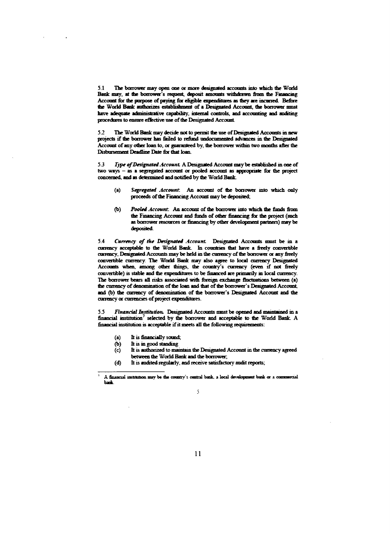**5.1** The borower may open one or more designated accounts into which the World Bank may, at the borrower's request, deposit amounts withdrawn from the Fmancing Account for the purpose of paying for eligible expenditures as they are incurred. Before the World Bank authorizes establishment of a Designated Account, the borrower must have adequate administrative capability, internal controls, and accounting and auditing procedures to ensure effective use of the Designated Account.

*5.2 The* World Bank may decide not to permnt **the** use of Designated Accounts in new projects if *the* borrower has ftiled to refund undacumented *advances* in the Designated Account of any other loan to, or guaranteed by the borrower withm two months after the Disbursement Deadline Date **for** that loan-

5.3 *Iype of Designated Account.* A Designated Account may be established in one of two ways **-** as **a** segregated account *or* pooled account as **appropriate** for the **project** concerned, and as determined and notified **by** *the* World Ban

- *(a) Segregated Account An* account of the borrower ito which only proceeds of the Financing Account may be deposited;
- **(b)** *Poold Account* **An** account of the borrower into winch the *funds* from *the* Financing Account and funds of other financing for the project (such as borrower resources or financing by other development partners) may be deposited

5.4 Currency of the Designated Account. Designated Accounts must be in a curency acceptable to the World Bank. In counties that have a freely convertible curency, Designated Accounts maybe held in the cunency of the borrower or any freely convertible cunrrency The World Bank may also agree to local currency Designated Accounts when, among other **things,** the country's cunency (even if not **firely** convertible) is stable and the expenditures to be fianced are primarily **in** local currency. The borrower bears **all** risks associated with foreign exchange fluctuations between **(a)** the cnrency of denomination of the loan and that of the borrower's Designated Account and **(b)** the curency of denommation of the bonower's Designated Account and the currency or currencies of project expenditures.

*Financial Institution.* Designated Accounts nuist be opened and maintained in a fiancial institution7 selected **by** the borrower and acceptable to the World Bank **A** fnancial institution is acceptable if it meets all the following requirements:

- (a) It is financially sound
- **(b)** It is in good standting
- (c) It is authorized to mainta the Designated Account **in** the curency agreed between the World Bank and the *borrower*
- **(d)** It is audited regularly, and receive satisfctory audit reports;

A **fmancial** institution may be the country's central bank, a local development bank or a commercial back

*<sup>5</sup>*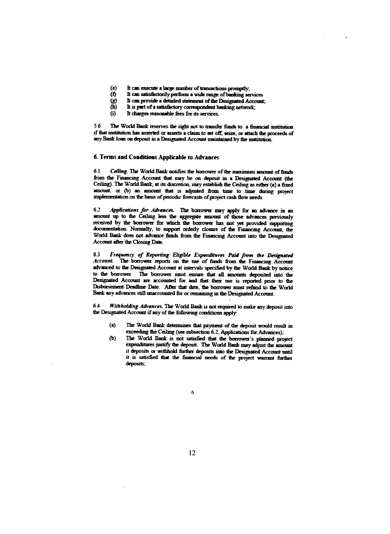- $(e)$ It can execute a large manber of transactions promptly;
- $\ddot{\mathbf{0}}$ It can satisfactorily perform a wide range of banking services
- It can provide a detailed statement of the Designated Account;  $\bf (g)$
- $\widetilde{(\mathbf{b})}$ It is part of a satisfactory correspondent banking network;
- 6 It charges reasonable fees for its services.

The World Bank reserves the right not to transfer funds to a financial institution 56 if that institution has asserted or asserts a claim to set off, seize, or attach the proceeds of any Bank loan on deposit in a Designated Account maintained by the institution.

#### 6. Terms and Conditions Applicable to Advances

 $6.1$ Ceiling. The World Bank notifies the borrower of the maximum amount of funds from the Financing Account that may be on deposit in a Designated Account (the Ceiling). The World Bank, at its discretion, may establish the Ceiling as either (a) a fixed amount, or (b) an amount that is adjusted from time to time during project implementation on the basis of periodic forecasts of project cash flow needs.

Applications for Advances. The borrower may apply for an advance in an  $6.2$ amount up to the Ceiling less the aggregate amount of those advances previously received by the borrower for which the borrower has not yet provided supporting documentation. Normally, to support orderly closure of the Financing Account, the World Bank does not advance funds from the Financing Account into the Designated Account after the Closing Date.

Frequency of Reporting Eligible Expenditures Paid from the Designated  $6.3$ Account. The borrower reports on the use of funds from the Financing Account advanced to the Designated Account at intervals specified by the World Bank by notice to the borrower. The borrower must ensure that all amounts deposited into the Designated Account are accounted for and that their use is reported prior to the Disbursement Deadline Date. After that date, the borrower must refund to the World Bank any advances still unaccounted for or remaining in the Designated Account.

Withholding Advances. The World Bank is not required to make any deposit into 64 the Designated Account if any of the following conditions apply:

- $(a)$ The World Bank determines that payment of the deposit would result in exceeding the Ceiling (see subsection 6.2, Applications for Advances);
- The World Bank is not satisfied that the borrower's planned project  $(b)$ expenditures justify the deposit. The World Bank may adjust the amount it deposits or withhold further deposits into the Designated Account until it is satisfied that the financial needs of the project warrant further deposits: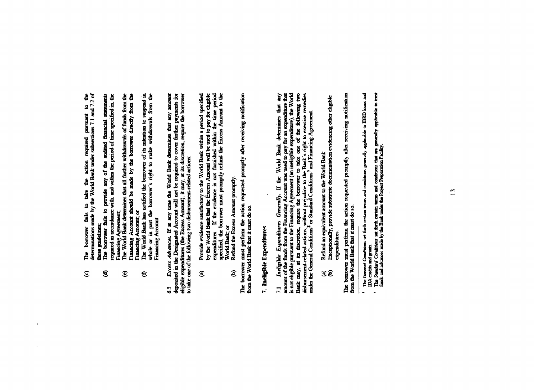The borrower fails to take the action required pursuant to the determinations made by the World Bank under subsections 7.1 and 7.2 of  $\widehat{\mathcal{L}}$ 

 $\sim$ 

- these guidelines;<br>The borrower fails to provide any of the andited financial statements required in accordance with, and within the period of time specified in, the  $\overline{\mathbf{e}}$ 
	- Financing Agreement;<br>The World Bank determines that all further withdrawals of funds from the Financing Account should be made by the borrower directly from the Financing Account; or  $\mathbf{\widehat{e}}$
- The World Bank has notified the borrower of its intention to suspend in whole or in part the borrower's right to make withdrawals from the Financing Account.  $\mathbf{e}$

deposited in the Designated Account will not be required to cover further payments for eligible expenditures (the Excess Amount), it may, at its discretion, require the borrower to take one of the following two disbursemen Excess Advances. If at any time the World Bank determines that any amount Ŝ,

- Provide evidence satisfactory to the World Bank within a period specified<br>by the World Bank that the Excess Amount will be used to pay for eligible<br>expenditures. If the evidence is not funnished within the time penod<br>speci  $\widehat{\mathbf{c}}$ 
	- $\widehat{\mathbf{e}}$

The borrower must perform the action requested promptly after receiving notification<br>from the World Bank that it must do so.

## 7. Ineligible Expenditures

7.1 Indigible Expenditures Generally. If the World Bank determines that any amount of the finads from the Financing Account was used to pay for an expenditure that is not eligible pursuant to the Financing Agreement (an i

- 
- Refund an equivalent amount to the World Bank<br>Exceptionally, provide substitute documentation evidencing other eligible expenditures.  $\widehat{\mathbf{e}}$

The borrower must perform the action requested promptly after receiving notification<br>from the World Bank that it must do so.

The General Conditions set forth certain terms and conditions generally applicable to IBRD loans and DA credits and grants.  $\bullet$ 

The Stondard Conditions set forth certain terms and conditions that are generally applicable to trust finds and advances made by the Bank under the Project Preparation Facility.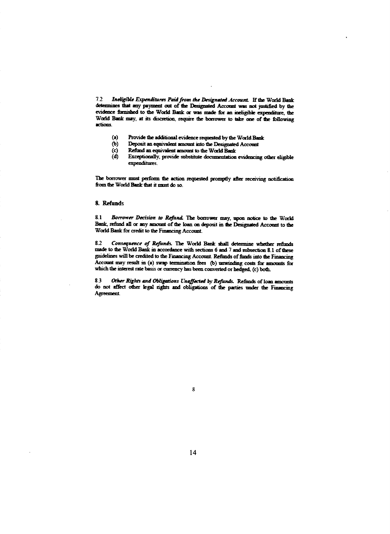**7.2** *lnelr fWe Expen"res Paidfrom the Designated Account.* lftheWarldBank deleumnes; that any payment out **of** the Designated Account was not juslified **by** the evidence furnished to the World Bank or was made for an **ineligible** expenditure, the World Bank may, at its discretion, require the borrower to take one of the following actions.

- (a) Provide the additional evidence requested by the World Bank<br>(b) Deposit an equivalent amount into the Designated Account
- **(b)** Deposit an equivalent amount into the Designated Account
- (c) Refund an equivalent amount to the World Bank<br>(d) Exceptionally, provide substitute documentation
- Exceptionally, provide substitute documentation evidencing other eligible expenditures.

The borrower must perform the action requested promptly after receiving notification from the World Bank that it must do so.

#### 8. Refunds

8.1 *Borrower Decision to Refund.* The borrower may, upon notice to the World Bank, refund all or any amount of the loan on deposit in the Designated Account to the World Bank for credit to the Financing Account.

9-2 *Consequence of Refinds.* The World **Bank shaU** determine whether refimids **IM** to die World Bank in accordance with sections **6** and **7** and subsection **S. I** of thew guidelines will be credited to the Financing Account. Refunds of funds into the Financing Account may resuft in (a) swap termination fees **(b)** unwinding costs for amounts **fix** which the interest rate basis or currency has been converted or hedged, (c) both.

**8.3** *Other Rights and Ob4godons Unaffierted* Ln, Re *y Refunds.* **Refunds of loan** do not affect **adier** kegal rights and obhgations of the parties under the Finnicing Agreement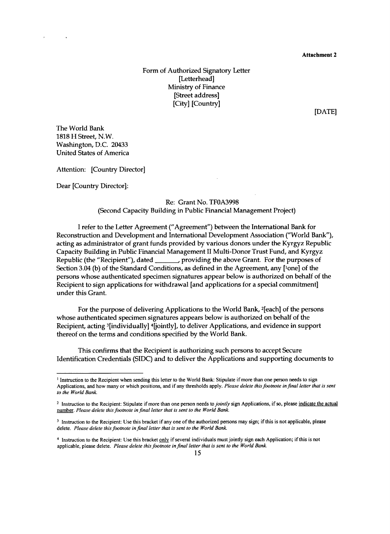Attachment 2

Form of Authorized Signatory Letter [Letterhead] Ministry of Finance [Street address] [City] [Country]

**[DATE]**

The World Bank **1818** H Street, N.W. Washington, **D.C.** 20433 United States of America

Attention: [Country Director]

Dear [Country Director]:

#### Re: Grant No. **TF0A3998** (Second Capacity Building in Public Financial Management Project)

**<sup>I</sup>**refer to the Letter Agreement ("Agreement") between the International Bank for Reconstruction and Development and International Development Association ("World Bank"), acting as administrator of grant funds provided **by** various donors under the Kyrgyz Republic Capacity Building in Public Financial Management II Multi-Donor Trust Fund, and Kyrgyz Republic (the "Recipient"), dated \_\_\_\_\_\_, providing the above Grant. For the purposes of Section 3.04 (b) of the Standard Conditions, as defined in the Agreement, any <sup>[1</sup>one] of the persons whose authenticated specimen signatures appear below is authorized on behalf of the Recipient to sign applications for withdrawal [and applications for a special commitment] under this Grant.

For the purpose of delivering Applications to the World Bank, 2[each] of the persons whose authenticated specimen signatures appears below is authorized on behalf of the Recipient, acting 3[individually] 4(jointly], to deliver Applications, and evidence in support thereof on the terms and conditions specified **by** the World Bank.

This confirms that the Recipient is authorizing such persons to accept Secure Identification Credentials **(SIDC)** and to deliver the Applications and supporting documents to

<sup>&#</sup>x27; Instruction to the Recipient when sending this letter to the World Bank: Stipulate if more than one person needs to sign Applications, and how many or which positions, and if any thresholds apply. *Please delete this footnote infinal letter that is sent to the World Bank.*

<sup>2</sup> Instruction to the Recipient: Stipulate if more than one person needs *to jointly* sign Applications, if so, please indicate the actual number. *Please delete this footnote in final letter that is sent to the World Bank.*

 $3$  Instruction to the Recipient: Use this bracket if any one of the authorized persons may sign; if this is not applicable, please delete. *Please delete this footnote in final letter that is sent to the World Bank.*

<sup>&</sup>lt;sup>4</sup> Instruction to the Recipient: Use this bracket only if several individuals must jointly sign each Application; if this is not applicable, please delete. *Please delete this footnote in final letter that is sent to the World Bank.*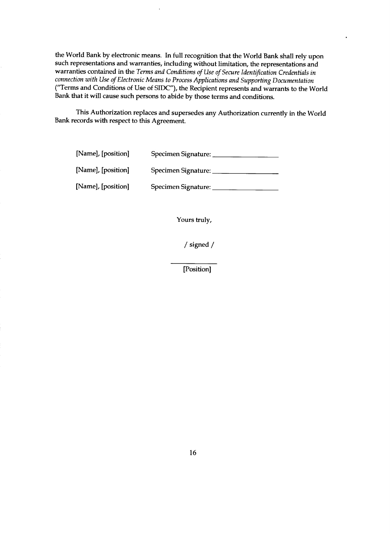the World Bank **by** electronic means. In full recognition that the World Bank shall rely upon such representations and warranties, including without limitation, the representations and warranties contained in the *Terms and Conditions of Use of Secure Identification Credentials in connection with Use of Electronic Means to Process Applications and Supporting Documentation* ("Terms and Conditions of Use of **SIDC"),** the Recipient represents and warrants to the World Bank that it will cause such persons to abide **by** those terms and conditions.

This Authorization replaces and supersedes any Authorization currently in the World Bank records with respect to this Agreement.

| [Name], [position] | Specimen Signature: |
|--------------------|---------------------|
| [Name], [position] | Specimen Signature: |
| [Name], [position] | Specimen Signature: |

Yours truly,

/ signed

[Position]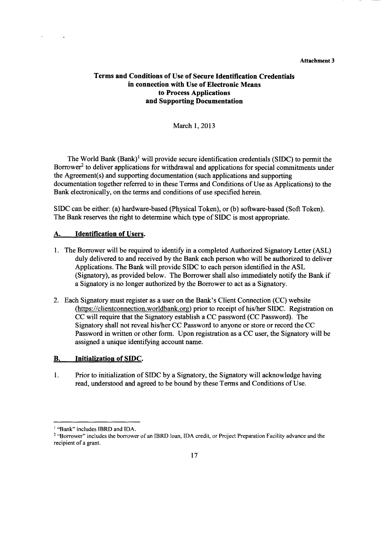#### **Attachment 3**

#### **Terms and Conditions of Use of Secure Identification Credentials in connection with Use of Electronic Means to Process Applications and Supporting Documentation**

#### March **1, 2013**

The World Bank (Bank)' will provide secure identification credentials (SIDC) to permit the Borrower<sup>2</sup> to deliver applications for withdrawal and applications for special commitments under the Agreement(s) and supporting documentation (such applications and supporting documentation together referred to in these Terms and Conditions of Use as Applications) to the Bank electronically, on the terms and conditions of use specified herein.

**SIDC** can be either: (a) hardware-based (Physical Token), or **(b)** software-based (Soft Token). The Bank reserves the right to determine which type of **SIDC** is most appropriate.

#### **A.** Identification of Users.

 $\ddot{\phantom{1}}$ 

- **1.** The Borrower will be required to identify in a completed Authorized Signatory Letter **(ASL)** duly delivered to and received **by** the Bank each person who will be authorized to deliver Applications. The Bank will provide **SIDC** to each person identified in the **ASL** (Signatory), as provided below. The Borrower shall also immediately notify the Bank if a Signatory is no longer authorized **by** the Borrower to act as a Signatory.
- 2. Each Signatory must register as a user on the Bank's Client Connection **(CC)** website (https://clientconnection.worldbank.org) prior to receipt of his/her **SIDC.** Registration on **CC** will require that the Signatory establish a **CC** password **(CC** Password). The Signatory shall not reveal his/her **CC** Password to anyone or store or record the **CC** Password in written or other form. Upon registration as a **CC** user, the Signatory will be assigned a unique identifying account name.

#### B. **Initialization of SIDC.**

**I.** Prior to initialization of **SIDC by** a Signatory, the Signatory will acknowledge having read, understood and agreed to be bound **by** these Terms and Conditions of Use.

<sup>&</sup>lt;sup>1</sup> "Bank" includes **IBRD** and **IDA**.

<sup>2</sup>"Borrower" includes the borrower of an IBRD loan, **IDA** credit, or Project Preparation Facility advance and the recipient of a grant.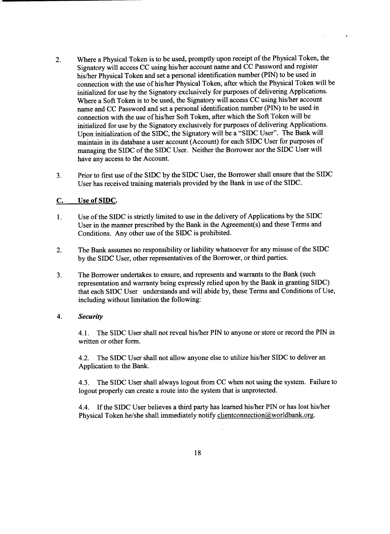- 2. Where a Physical Token is to be used, promptly upon receipt of the Physical Token, the Signatory will access **CC** using his/her account name and **CC** Password and register his/her Physical Token and set a personal identification number **(PIN)** to be used in connection with the use of his/her Physical Token, after which the Physical Token will be initialized for use **by** the Signatory exclusively for purposes of delivering Applications. Where a Soft Token is to be used, the Signatory will access **CC** using his/her account name and **CC** Password and set a personal identification number **(PIN)** to be used in connection with the use of his/her Soft Token, after which the Soft Token will be initialized for use **by** the Signatory exclusively for purposes of delivering Applications. Upon initialization of the **SIDC,** the Signatory will be a **"SIDC** User". The Bank will maintain in its database a user account (Account) for each **SIDC** User for purposes of managing the **SIDC** of the **SIDC** User. Neither the Borrower nor the **SIDC** User will have any access to the Account.
- **3.** Prior to first use of the **SIDC by** the **SIDC** User, the Borrower shall ensure that the **SIDC** User has received training materials provided **by** the Bank in use of the **SIDC.**

#### **C.** Use of **SIDC.**

- 1. Use of the **SIDC** is strictly limited to use in the delivery of Applications **by** the SIDC User in the manner prescribed **by** the Bank in the Agreement(s) and these Terms and Conditions. Any other use of the **SIDC** is prohibited.
- 2. The Bank assumes no responsibility or liability whatsoever for any misuse of the **SIDC by** the **SIDC** User, other representatives of the Borrower, or third parties.
- **3.** The Borrower undertakes to ensure, and represents and warrants to the Bank (such representation and warranty being expressly relied upon **by** the Bank in granting **SIDC)** that each **SIDC** User understands and will abide **by,** these Terms and Conditions of Use, including without limitation the following:

#### *4. Security*

4.1. The **SIDC** User shall not reveal his/her **PIN** to anyone or store or record the **PIN** in written or other form.

4.2. The **SIDC** User shall not allow anyone else to utilize his/her **SIDC** to deliver an Application to the Bank.

4.3. The **SIDC** User shall always logout from **CC** when not using the system. Failure to logout properly can create a route into the system that is unprotected.

4.4. **If** the **SIDC** User believes a third party has learned his/her **PIN** or has lost his/her Physical Token he/she shall immediately notify clientconnection@worldbank.org.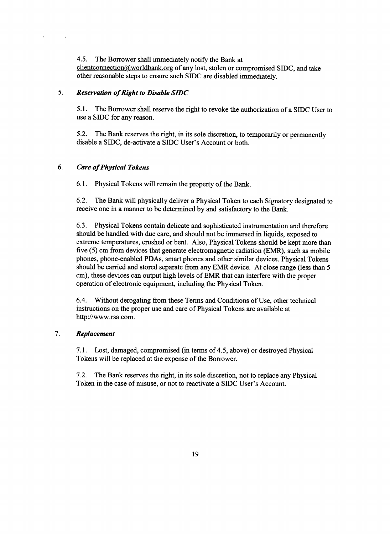*4.5.* The Borrower shall immediately notify the Bank at clientconnection@&worldbank.org of any lost, stolen or compromised **SIDC,** and take other reasonable steps to ensure such **SIDC** are disabled immediately.

#### *5. Reservation of Right to Disable SIDC*

*5.1.* The Borrower shall reserve the right to revoke the authorization of a SIDC User to use a **SIDC** for any reason.

*5.2.* The Bank reserves the right, in its sole discretion, to temporarily or permanently disable a **SIDC,** de-activate a **SIDC** User's Account or both.

#### *6. Care of Physical Tokens*

 $\ddot{\phantom{a}}$ 

**6.1.** Physical Tokens will remain the property of the Bank.

**6.2.** The Bank will physically deliver a Physical Token to each Signatory designated to receive one in a manner to be determined **by** and satisfactory to the Bank.

**6.3.** Physical Tokens contain delicate and sophisticated instrumentation and therefore should be handled with due care, and should not be immersed in liquids, exposed to extreme temperatures, crushed or bent. Also, Physical Tokens should be kept more than five *(5)* cm from devices that generate electromagnetic radiation **(EMR),** such as mobile phones, phone-enabled PDAs, smart phones and other similar devices. Physical Tokens should be carried and stored separate from any EMR device. At close range (less than *5* cm), these devices can output high levels of EMR that can interfere with the proper operation of electronic equipment, including the Physical Token.

6.4. Without derogating from these Terms and Conditions of Use, other technical instructions on the proper use and care of Physical Tokens are available at http://www.rsa.com.

#### *7. Replacement*

**7.1.** Lost, damaged, compromised (in terms of *4.5,* above) or destroyed Physical Tokens will be replaced at the expense of the Borrower.

**7.2.** The Bank reserves the right, in its sole discretion, not to replace any Physical Token in the case of misuse, or not to reactivate a SIDC User's Account.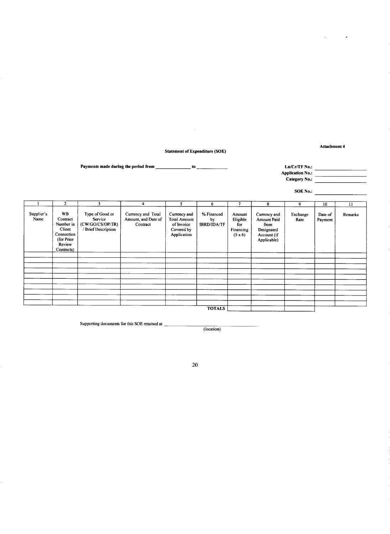**Statement of Expenditure (SOE)**

 $\sim 10^{-1}$ 

**Attachment 4**

 $\overline{a}$ 

 $\ddot{\phantom{a}}$ 

**Payments made during the period from to Ln/Cr/TF** No.:

**Application** No.: **Category** No.:

**SOE No.:**

|                    | $\overline{2}$                                                                                   | 3                                                                   | 4                                                     | 5                                                                              | 6                                      |                                                 | 8                                                                                      | 9                | 10                 | $\mathbf{11}$ |
|--------------------|--------------------------------------------------------------------------------------------------|---------------------------------------------------------------------|-------------------------------------------------------|--------------------------------------------------------------------------------|----------------------------------------|-------------------------------------------------|----------------------------------------------------------------------------------------|------------------|--------------------|---------------|
| Supplier's<br>Name | <b>WB</b><br>Contract<br>Number in<br>Client<br>Connection<br>(for Prior<br>Review<br>Contracts) | Type of Good or<br>Service<br>(CW/GO/CS/OP/TR)<br>Brief Description | Currency and Total<br>Amount, and Date of<br>Contract | Currency and<br><b>Total Amount</b><br>of Invoice<br>Covered by<br>Application | % Financed<br>by<br><b>IBRD/IDA/TF</b> | Amount<br>Eligible<br>for<br>Financing<br>(5x6) | Currency and<br><b>Amount Paid</b><br>from<br>Designated<br>Account (if<br>Applicable) | Exchange<br>Rate | Date of<br>Payment | Remarks       |
|                    |                                                                                                  |                                                                     |                                                       |                                                                                |                                        |                                                 |                                                                                        |                  |                    |               |
|                    |                                                                                                  |                                                                     |                                                       |                                                                                |                                        |                                                 |                                                                                        |                  |                    |               |
|                    |                                                                                                  |                                                                     |                                                       |                                                                                |                                        |                                                 |                                                                                        |                  |                    |               |
|                    |                                                                                                  |                                                                     |                                                       |                                                                                |                                        |                                                 |                                                                                        |                  |                    |               |
|                    |                                                                                                  |                                                                     |                                                       |                                                                                |                                        |                                                 |                                                                                        |                  |                    |               |
|                    |                                                                                                  |                                                                     |                                                       |                                                                                |                                        |                                                 |                                                                                        |                  |                    |               |
|                    |                                                                                                  |                                                                     |                                                       |                                                                                |                                        |                                                 |                                                                                        |                  |                    |               |
|                    |                                                                                                  |                                                                     |                                                       |                                                                                |                                        |                                                 |                                                                                        |                  |                    |               |
|                    |                                                                                                  |                                                                     |                                                       |                                                                                |                                        |                                                 |                                                                                        |                  |                    |               |
|                    |                                                                                                  |                                                                     |                                                       |                                                                                |                                        |                                                 |                                                                                        |                  |                    |               |
|                    |                                                                                                  |                                                                     |                                                       |                                                                                | <b>TOTALS</b>                          |                                                 |                                                                                        |                  |                    |               |

Supporting documents for this **SOE** retained at

(location)

20